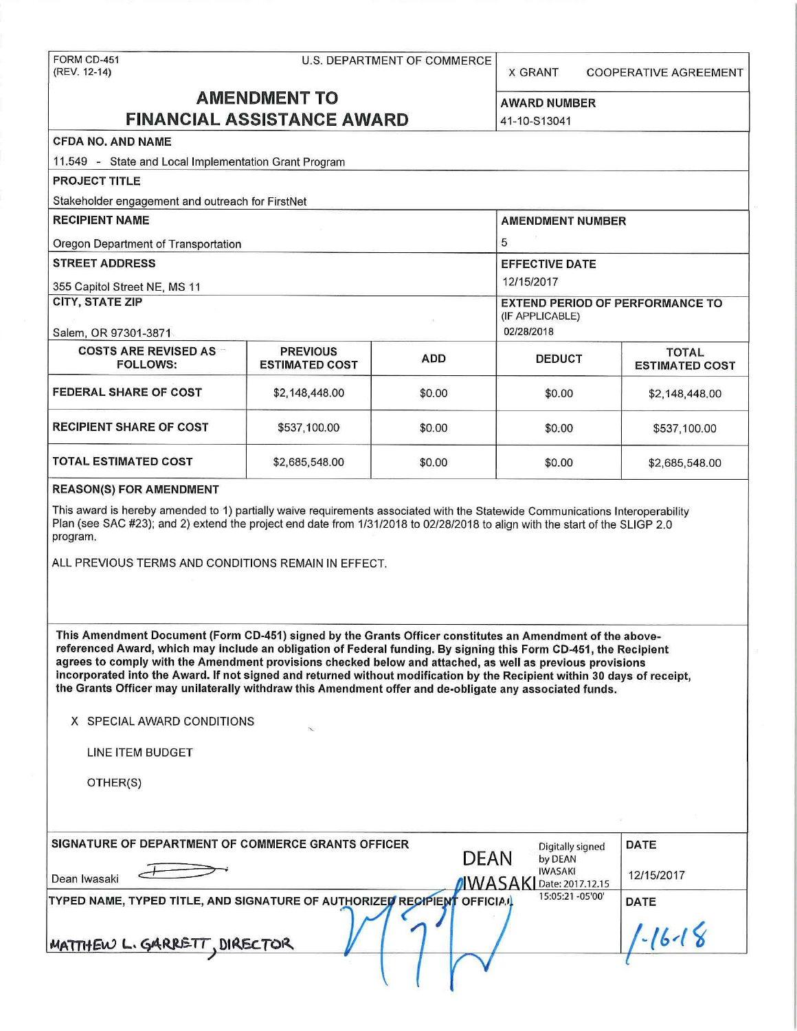# FORM CD-451 U.S. DEPARTMENT OF COMMERCE

X GRANT COOPERATIVE AGREEMENT

## **AMENDMENT TO** AWARD NUMBER **FINANCIAL ASSISTANCE AWARD 141-10-S13041**

#### **CFDA NO. AND NAME**

11.549 - State and Local Implementation Grant Program **PROJECT TITLE**  Stakeholder engagement and outreach for FirstNet **RECIPIENT NAME** AMENDMENT NUMBER **AMENDMENT NUMBER** Oregon Department of Transportation 6 and 5 and 5 and 5 and 5 and 5 and 5 and 5 and 5 and 5 and 5 and 5 and 5 and 5 and 5 and 5 and 5 and 5 and 5 and 5 and 5 and 5 and 5 and 5 and 5 and 5 and 5 and 5 and 5 and 5 and 5 and **STREET ADDRESS EFFECTIVE DATE**  355 Capitol Street NE, MS 11 12/15/2017 **CITY, STATE ZIP** EXTEND PERIOD OF PERFORMANCE TO (IF APPLICABLE) Salem, OR 97301-3871 02/28/2018 **COSTS ARE REVISED AS PREVIOUS ADD** DEDUCT FOLLOWS: **ADD COSTS ARE REVISED AS ESTIMATED COST FEDERAL SHARE OF COST**  $$2,148,448.00$  $$0.00$  $$2,148,448.00$ **RECIPIENT SHARE OF COST**  $\begin{array}{ccc} 1 & 3537, 100.00 \\ 0 & 5537, 100.00 \end{array}$  **\$0.00 \$0.00 \$537,100.00 TOTAL ESTIMATED COST**  $$2,685,548.00$  $$0.00$  $$0.00$  $$2,685,548.00$ 

#### **REASON(S) FOR AMENDMENT**

This award is hereby amended to 1) partially waive requirements associated with the Statewide Communications Interoperability Plan (see SAC #23); and 2) extend the project end date from 1/31/2018 to 02/28/2018 to align with the start of the SUGP 2.0 program.

ALL PREVIOUS TERMS AND CONDITIONS REMAIN IN EFFECT.

**This Amendment Document (Form CD-451) signed by the Grants Officer constitutes an Amendment of the abovereferenced Award, which may include an obligation of Federal funding. By signing this Form CD-451, the Recipient agrees to comply with the Amendment provisions checked below and attached, as well as previous provisions incorporated into the Award. If not signed and returned without modification by the Recipient within 30 days of receipt, the Grants Officer may unilaterally withdraw this Amendment offer and de-obligate any associated funds.** 

'

#### **X** SPECIAL AWARD CONDITIONS

LINE ITEM BUDGET

OTHER(S)

| SIGNATURE OF DEPARTMENT OF COMMERCE GRANTS OFFICER             | Digitally signed<br><b>DEAN</b><br>by DEAN        | <b>DATE</b> |
|----------------------------------------------------------------|---------------------------------------------------|-------------|
| Dean Iwasaki                                                   | <b>IWASAKI</b><br><b>IWASAKI</b> Date: 2017.12.15 | 12/15/2017  |
| TYPED NAME, TYPED TITLE, AND SIGNATURE OF AUTHORIZED RECIPIENT | 15:05:21 -05'00'<br><b>OFFICIAL</b>               | <b>DATE</b> |
| MATTHEW L. GARRETT, DIRECTOR                                   |                                                   | 1.111       |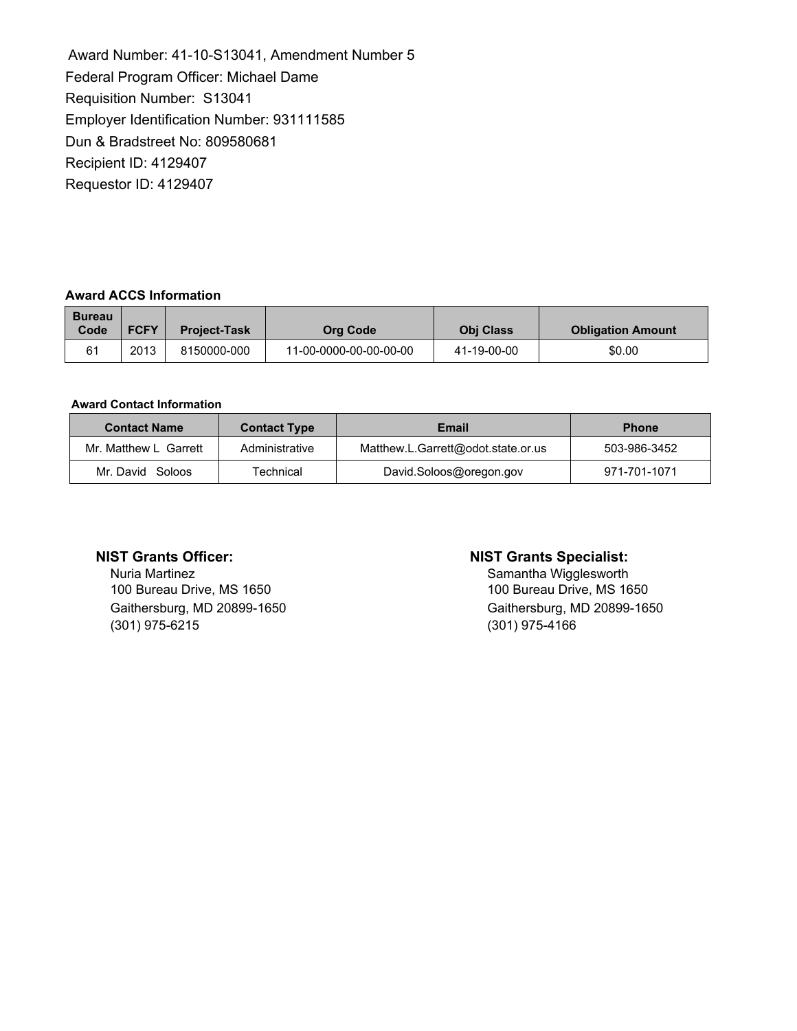Award Number: 41-10-S13041, Amendment Number 5 Federal Program Officer: Michael Dame Requisition Number: S13041 Employer Identification Number: 931111585 Dun & Bradstreet No: 809580681 Recipient ID: 4129407 Requestor ID: 4129407

#### **Award ACCS Information**

| <b>Bureau</b><br>Code | <b>FCFY</b> | <b>Project-Task</b> | Org Code               | <b>Obi Class</b> | <b>Obligation Amount</b> |
|-----------------------|-------------|---------------------|------------------------|------------------|--------------------------|
| 61                    | 2013        | 8150000-000         | 11-00-0000-00-00-00-00 | 41-19-00-00      | \$0.00                   |

#### **Award Contact Information**

| <b>Contact Name</b>   | <b>Contact Type</b> | Email                              | <b>Phone</b> |
|-----------------------|---------------------|------------------------------------|--------------|
| Mr. Matthew L Garrett | Administrative      | Matthew.L.Garrett@odot.state.or.us | 503-986-3452 |
| Mr. David Soloos      | Technical           | David.Soloos@oregon.gov            | 971-701-1071 |

Nuria Martinez<br>
100 Bureau Drive, MS 1650<br>
100 Bureau Drive, MS 1650<br>
100 Bureau Drive, MS 1650 100 Bureau Drive, MS 1650 (301) 975-6215 (301) 975-4166

#### **NIST Grants Officer: NIST Grants Specialist:**

Gaithersburg, MD 20899-1650 Gaithersburg, MD 20899-1650